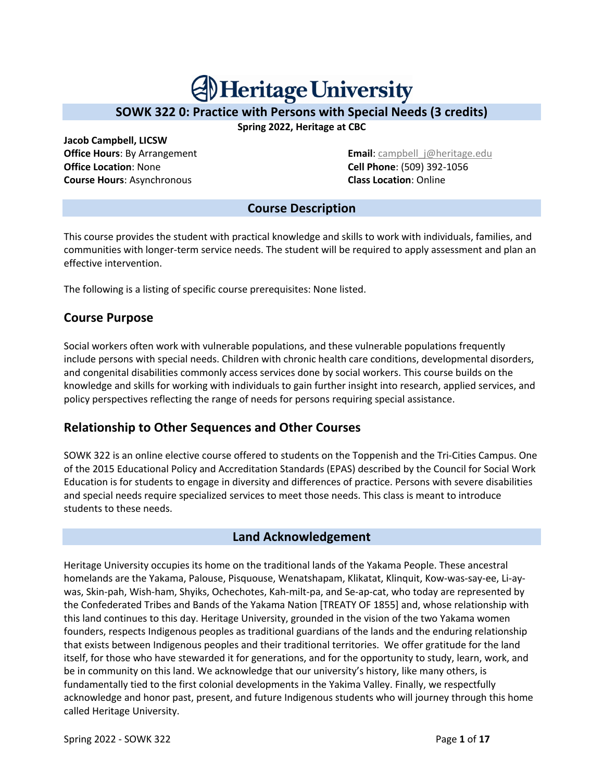# **Al Heritage University**

## **SOWK 322 0: Practice with Persons with Special Needs (3 credits)**

**Spring 2022, Heritage at CBC**

**Jacob Campbell, LICSW Office Location**: None **Cell Phone**: (509) 392-1056 **Course Hours**: Asynchronous **Class Location**: Online

**Office Hours: By Arrangement Email: campbell** i@heritage.edu

#### **Course Description**

This course provides the student with practical knowledge and skills to work with individuals, families, and communities with longer-term service needs. The student will be required to apply assessment and plan an effective intervention.

The following is a listing of specific course prerequisites: None listed.

## **Course Purpose**

Social workers often work with vulnerable populations, and these vulnerable populations frequently include persons with special needs. Children with chronic health care conditions, developmental disorders, and congenital disabilities commonly access services done by social workers. This course builds on the knowledge and skills for working with individuals to gain further insight into research, applied services, and policy perspectives reflecting the range of needs for persons requiring special assistance.

## **Relationship to Other Sequences and Other Courses**

SOWK 322 is an online elective course offered to students on the Toppenish and the Tri-Cities Campus. One of the 2015 Educational Policy and Accreditation Standards (EPAS) described by the Council for Social Work Education is for students to engage in diversity and differences of practice. Persons with severe disabilities and special needs require specialized services to meet those needs. This class is meant to introduce students to these needs.

## **Land Acknowledgement**

Heritage University occupies its home on the traditional lands of the Yakama People. These ancestral homelands are the Yakama, Palouse, Pisquouse, Wenatshapam, Klikatat, Klinquit, Kow-was-say-ee, Li-aywas, Skin-pah, Wish-ham, Shyiks, Ochechotes, Kah-milt-pa, and Se-ap-cat, who today are represented by the Confederated Tribes and Bands of the Yakama Nation [TREATY OF 1855] and, whose relationship with this land continues to this day. Heritage University, grounded in the vision of the two Yakama women founders, respects Indigenous peoples as traditional guardians of the lands and the enduring relationship that exists between Indigenous peoples and their traditional territories. We offer gratitude for the land itself, for those who have stewarded it for generations, and for the opportunity to study, learn, work, and be in community on this land. We acknowledge that our university's history, like many others, is fundamentally tied to the first colonial developments in the Yakima Valley. Finally, we respectfully acknowledge and honor past, present, and future Indigenous students who will journey through this home called Heritage University.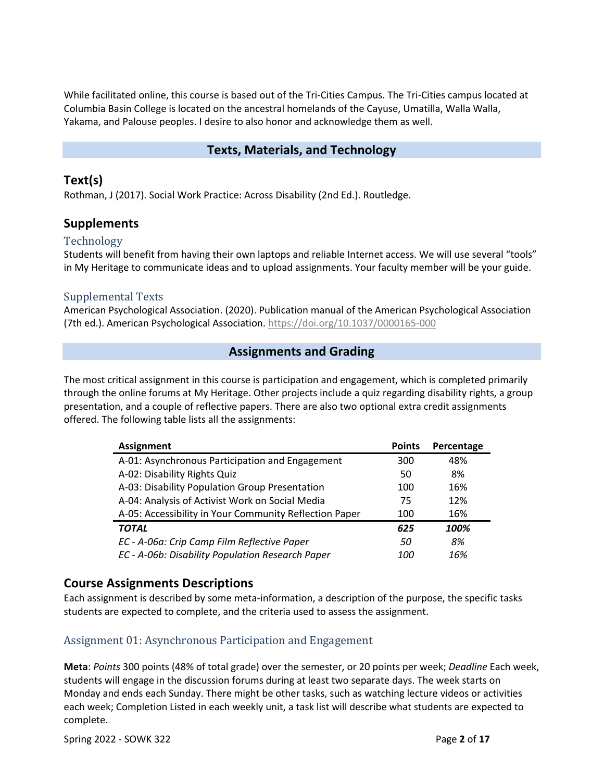While facilitated online, this course is based out of the Tri-Cities Campus. The Tri-Cities campus located at Columbia Basin College is located on the ancestral homelands of the Cayuse, Umatilla, Walla Walla, Yakama, and Palouse peoples. I desire to also honor and acknowledge them as well.

#### **Texts, Materials, and Technology**

#### **Text(s)**

Rothman, J (2017). Social Work Practice: Across Disability (2nd Ed.). Routledge.

#### **Supplements**

#### Technology

Students will benefit from having their own laptops and reliable Internet access. We will use several "tools" in My Heritage to communicate ideas and to upload assignments. Your faculty member will be your guide.

#### Supplemental Texts

American Psychological Association. (2020). Publication manual of the American Psychological Association (7th ed.). American Psychological Association. https://doi.org/10.1037/0000165-000

#### **Assignments and Grading**

The most critical assignment in this course is participation and engagement, which is completed primarily through the online forums at My Heritage. Other projects include a quiz regarding disability rights, a group presentation, and a couple of reflective papers. There are also two optional extra credit assignments offered. The following table lists all the assignments:

| <b>Assignment</b>                                      | <b>Points</b> | Percentage |
|--------------------------------------------------------|---------------|------------|
| A-01: Asynchronous Participation and Engagement        | 300           | 48%        |
| A-02: Disability Rights Quiz                           | 50            | 8%         |
| A-03: Disability Population Group Presentation         | 100           | 16%        |
| A-04: Analysis of Activist Work on Social Media        | 75            | 12%        |
| A-05: Accessibility in Your Community Reflection Paper | 100           | 16%        |
| <b>TOTAL</b>                                           | 625           | 100%       |
| EC - A-06a: Crip Camp Film Reflective Paper            | 50            | 8%         |
| EC - A-06b: Disability Population Research Paper       | <i>100</i>    | 16%        |

#### **Course Assignments Descriptions**

Each assignment is described by some meta-information, a description of the purpose, the specific tasks students are expected to complete, and the criteria used to assess the assignment.

#### Assignment 01: Asynchronous Participation and Engagement

**Meta**: *Points* 300 points (48% of total grade) over the semester, or 20 points per week; *Deadline* Each week, students will engage in the discussion forums during at least two separate days. The week starts on Monday and ends each Sunday. There might be other tasks, such as watching lecture videos or activities each week; Completion Listed in each weekly unit, a task list will describe what students are expected to complete.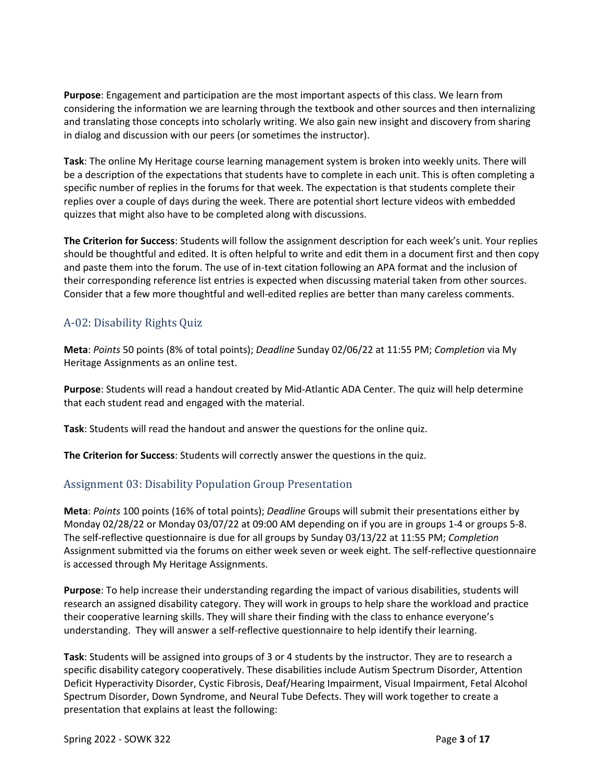**Purpose**: Engagement and participation are the most important aspects of this class. We learn from considering the information we are learning through the textbook and other sources and then internalizing and translating those concepts into scholarly writing. We also gain new insight and discovery from sharing in dialog and discussion with our peers (or sometimes the instructor).

**Task**: The online My Heritage course learning management system is broken into weekly units. There will be a description of the expectations that students have to complete in each unit. This is often completing a specific number of replies in the forums for that week. The expectation is that students complete their replies over a couple of days during the week. There are potential short lecture videos with embedded quizzes that might also have to be completed along with discussions.

**The Criterion for Success**: Students will follow the assignment description for each week's unit. Your replies should be thoughtful and edited. It is often helpful to write and edit them in a document first and then copy and paste them into the forum. The use of in-text citation following an APA format and the inclusion of their corresponding reference list entries is expected when discussing material taken from other sources. Consider that a few more thoughtful and well-edited replies are better than many careless comments.

#### A-02: Disability Rights Quiz

**Meta**: *Points* 50 points (8% of total points); *Deadline* Sunday 02/06/22 at 11:55 PM; *Completion* via My Heritage Assignments as an online test.

**Purpose**: Students will read a handout created by Mid-Atlantic ADA Center. The quiz will help determine that each student read and engaged with the material.

**Task**: Students will read the handout and answer the questions for the online quiz.

**The Criterion for Success**: Students will correctly answer the questions in the quiz.

#### Assignment 03: Disability Population Group Presentation

**Meta**: *Points* 100 points (16% of total points); *Deadline* Groups will submit their presentations either by Monday 02/28/22 or Monday 03/07/22 at 09:00 AM depending on if you are in groups 1-4 or groups 5-8. The self-reflective questionnaire is due for all groups by Sunday 03/13/22 at 11:55 PM; *Completion* Assignment submitted via the forums on either week seven or week eight. The self-reflective questionnaire is accessed through My Heritage Assignments.

**Purpose**: To help increase their understanding regarding the impact of various disabilities, students will research an assigned disability category. They will work in groups to help share the workload and practice their cooperative learning skills. They will share their finding with the class to enhance everyone's understanding. They will answer a self-reflective questionnaire to help identify their learning.

**Task**: Students will be assigned into groups of 3 or 4 students by the instructor. They are to research a specific disability category cooperatively. These disabilities include Autism Spectrum Disorder, Attention Deficit Hyperactivity Disorder, Cystic Fibrosis, Deaf/Hearing Impairment, Visual Impairment, Fetal Alcohol Spectrum Disorder, Down Syndrome, and Neural Tube Defects. They will work together to create a presentation that explains at least the following: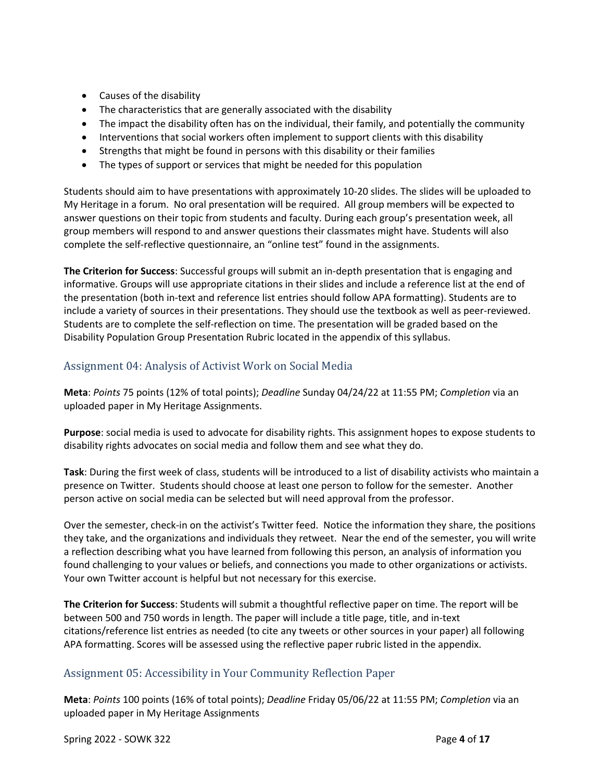- Causes of the disability
- The characteristics that are generally associated with the disability
- The impact the disability often has on the individual, their family, and potentially the community
- Interventions that social workers often implement to support clients with this disability
- Strengths that might be found in persons with this disability or their families
- The types of support or services that might be needed for this population

Students should aim to have presentations with approximately 10-20 slides. The slides will be uploaded to My Heritage in a forum. No oral presentation will be required. All group members will be expected to answer questions on their topic from students and faculty. During each group's presentation week, all group members will respond to and answer questions their classmates might have. Students will also complete the self-reflective questionnaire, an "online test" found in the assignments.

**The Criterion for Success**: Successful groups will submit an in-depth presentation that is engaging and informative. Groups will use appropriate citations in their slides and include a reference list at the end of the presentation (both in-text and reference list entries should follow APA formatting). Students are to include a variety of sources in their presentations. They should use the textbook as well as peer-reviewed. Students are to complete the self-reflection on time. The presentation will be graded based on the Disability Population Group Presentation Rubric located in the appendix of this syllabus.

## Assignment 04: Analysis of Activist Work on Social Media

**Meta**: *Points* 75 points (12% of total points); *Deadline* Sunday 04/24/22 at 11:55 PM; *Completion* via an uploaded paper in My Heritage Assignments.

**Purpose**: social media is used to advocate for disability rights. This assignment hopes to expose students to disability rights advocates on social media and follow them and see what they do.

**Task**: During the first week of class, students will be introduced to a list of disability activists who maintain a presence on Twitter. Students should choose at least one person to follow for the semester. Another person active on social media can be selected but will need approval from the professor.

Over the semester, check-in on the activist's Twitter feed. Notice the information they share, the positions they take, and the organizations and individuals they retweet. Near the end of the semester, you will write a reflection describing what you have learned from following this person, an analysis of information you found challenging to your values or beliefs, and connections you made to other organizations or activists. Your own Twitter account is helpful but not necessary for this exercise.

**The Criterion for Success**: Students will submit a thoughtful reflective paper on time. The report will be between 500 and 750 words in length. The paper will include a title page, title, and in-text citations/reference list entries as needed (to cite any tweets or other sources in your paper) all following APA formatting. Scores will be assessed using the reflective paper rubric listed in the appendix.

#### Assignment 05: Accessibility in Your Community Reflection Paper

**Meta**: *Points* 100 points (16% of total points); *Deadline* Friday 05/06/22 at 11:55 PM; *Completion* via an uploaded paper in My Heritage Assignments

Spring 2022 - SOWK 322 Page **4** of **17**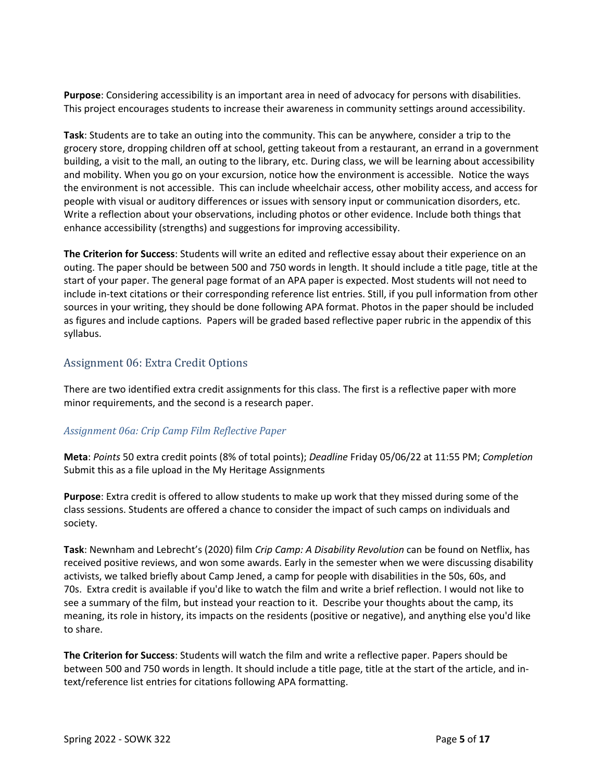**Purpose**: Considering accessibility is an important area in need of advocacy for persons with disabilities. This project encourages students to increase their awareness in community settings around accessibility.

**Task**: Students are to take an outing into the community. This can be anywhere, consider a trip to the grocery store, dropping children off at school, getting takeout from a restaurant, an errand in a government building, a visit to the mall, an outing to the library, etc. During class, we will be learning about accessibility and mobility. When you go on your excursion, notice how the environment is accessible. Notice the ways the environment is not accessible. This can include wheelchair access, other mobility access, and access for people with visual or auditory differences or issues with sensory input or communication disorders, etc. Write a reflection about your observations, including photos or other evidence. Include both things that enhance accessibility (strengths) and suggestions for improving accessibility.

**The Criterion for Success**: Students will write an edited and reflective essay about their experience on an outing. The paper should be between 500 and 750 words in length. It should include a title page, title at the start of your paper. The general page format of an APA paper is expected. Most students will not need to include in-text citations or their corresponding reference list entries. Still, if you pull information from other sources in your writing, they should be done following APA format. Photos in the paper should be included as figures and include captions. Papers will be graded based reflective paper rubric in the appendix of this syllabus.

#### Assignment 06: Extra Credit Options

There are two identified extra credit assignments for this class. The first is a reflective paper with more minor requirements, and the second is a research paper.

#### *Assignment 06a: Crip Camp Film Reflective Paper*

**Meta**: *Points* 50 extra credit points (8% of total points); *Deadline* Friday 05/06/22 at 11:55 PM; *Completion* Submit this as a file upload in the My Heritage Assignments

**Purpose**: Extra credit is offered to allow students to make up work that they missed during some of the class sessions. Students are offered a chance to consider the impact of such camps on individuals and society.

**Task**: Newnham and Lebrecht's (2020) film *Crip Camp: A Disability Revolution* can be found on Netflix, has received positive reviews, and won some awards. Early in the semester when we were discussing disability activists, we talked briefly about Camp Jened, a camp for people with disabilities in the 50s, 60s, and 70s. Extra credit is available if you'd like to watch the film and write a brief reflection. I would not like to see a summary of the film, but instead your reaction to it. Describe your thoughts about the camp, its meaning, its role in history, its impacts on the residents (positive or negative), and anything else you'd like to share.

**The Criterion for Success**: Students will watch the film and write a reflective paper. Papers should be between 500 and 750 words in length. It should include a title page, title at the start of the article, and intext/reference list entries for citations following APA formatting.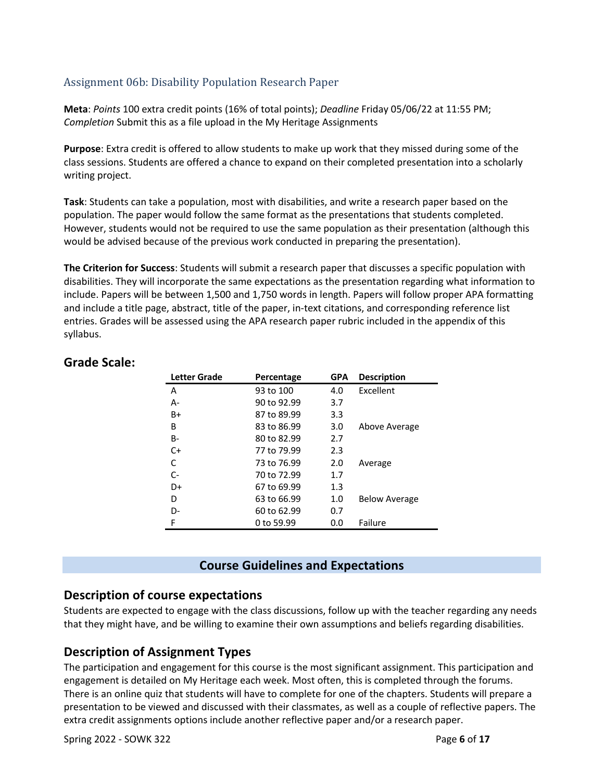#### Assignment 06b: Disability Population Research Paper

**Meta**: *Points* 100 extra credit points (16% of total points); *Deadline* Friday 05/06/22 at 11:55 PM; *Completion* Submit this as a file upload in the My Heritage Assignments

**Purpose**: Extra credit is offered to allow students to make up work that they missed during some of the class sessions. Students are offered a chance to expand on their completed presentation into a scholarly writing project.

**Task**: Students can take a population, most with disabilities, and write a research paper based on the population. The paper would follow the same format as the presentations that students completed. However, students would not be required to use the same population as their presentation (although this would be advised because of the previous work conducted in preparing the presentation).

**The Criterion for Success**: Students will submit a research paper that discusses a specific population with disabilities. They will incorporate the same expectations as the presentation regarding what information to include. Papers will be between 1,500 and 1,750 words in length. Papers will follow proper APA formatting and include a title page, abstract, title of the paper, in-text citations, and corresponding reference list entries. Grades will be assessed using the APA research paper rubric included in the appendix of this syllabus.

| Letter Grade | Percentage  | <b>GPA</b> | <b>Description</b>   |
|--------------|-------------|------------|----------------------|
| Α            | 93 to 100   | 4.0        | Excellent            |
| А-           | 90 to 92.99 | 3.7        |                      |
| B+           | 87 to 89.99 | 3.3        |                      |
| В            | 83 to 86.99 | 3.0        | Above Average        |
| B-           | 80 to 82.99 | 2.7        |                      |
| $C+$         | 77 to 79.99 | 2.3        |                      |
| C            | 73 to 76.99 | 2.0        | Average              |
| C-           | 70 to 72.99 | 1.7        |                      |
| D+           | 67 to 69.99 | $1.3\,$    |                      |
| D            | 63 to 66.99 | 1.0        | <b>Below Average</b> |
| D-           | 60 to 62.99 | 0.7        |                      |
| F            | 0 to 59.99  | 0.0        | Failure              |

#### **Grade Scale:**

#### **Course Guidelines and Expectations**

#### **Description of course expectations**

Students are expected to engage with the class discussions, follow up with the teacher regarding any needs that they might have, and be willing to examine their own assumptions and beliefs regarding disabilities.

#### **Description of Assignment Types**

The participation and engagement for this course is the most significant assignment. This participation and engagement is detailed on My Heritage each week. Most often, this is completed through the forums. There is an online quiz that students will have to complete for one of the chapters. Students will prepare a presentation to be viewed and discussed with their classmates, as well as a couple of reflective papers. The extra credit assignments options include another reflective paper and/or a research paper.

Spring 2022 - SOWK 322 Page **6** of **17**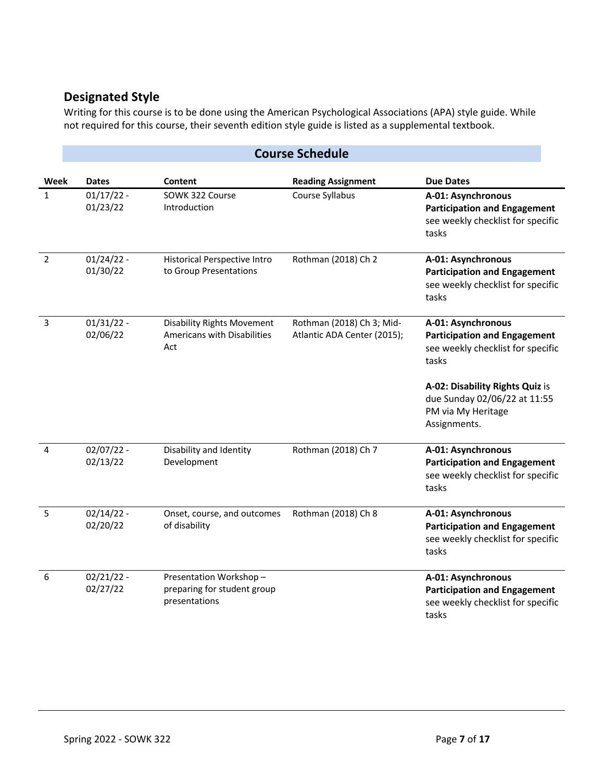## **Designated Style**

Writing for this course is to be done using the American Psychological Associations (APA) style guide. While not required for this course, their seventh edition style guide is listed as a supplemental textbook.

|                | <b>Course Schedule</b>   |                                                                         |                                                          |                                                                                                                                                                                                                  |  |  |  |
|----------------|--------------------------|-------------------------------------------------------------------------|----------------------------------------------------------|------------------------------------------------------------------------------------------------------------------------------------------------------------------------------------------------------------------|--|--|--|
| Week           | <b>Dates</b>             | Content                                                                 | <b>Reading Assignment</b>                                | <b>Due Dates</b>                                                                                                                                                                                                 |  |  |  |
| $\mathbf{1}$   | $01/17/22 -$<br>01/23/22 | SOWK 322 Course<br>Introduction                                         | Course Syllabus                                          | A-01: Asynchronous<br><b>Participation and Engagement</b><br>see weekly checklist for specific<br>tasks                                                                                                          |  |  |  |
| $\overline{2}$ | $01/24/22 -$<br>01/30/22 | Historical Perspective Intro<br>to Group Presentations                  | Rothman (2018) Ch 2                                      | A-01: Asynchronous<br><b>Participation and Engagement</b><br>see weekly checklist for specific<br>tasks                                                                                                          |  |  |  |
| 3              | $01/31/22 -$<br>02/06/22 | <b>Disability Rights Movement</b><br>Americans with Disabilities<br>Act | Rothman (2018) Ch 3; Mid-<br>Atlantic ADA Center (2015); | A-01: Asynchronous<br><b>Participation and Engagement</b><br>see weekly checklist for specific<br>tasks<br>A-02: Disability Rights Quiz is<br>due Sunday 02/06/22 at 11:55<br>PM via My Heritage<br>Assignments. |  |  |  |
| $\overline{4}$ | $02/07/22 -$<br>02/13/22 | Disability and Identity<br>Development                                  | Rothman (2018) Ch 7                                      | A-01: Asynchronous<br><b>Participation and Engagement</b><br>see weekly checklist for specific<br>tasks                                                                                                          |  |  |  |
| 5              | $02/14/22 -$<br>02/20/22 | Onset, course, and outcomes<br>of disability                            | Rothman (2018) Ch 8                                      | A-01: Asynchronous<br><b>Participation and Engagement</b><br>see weekly checklist for specific<br>tasks                                                                                                          |  |  |  |
| 6              | $02/21/22 -$<br>02/27/22 | Presentation Workshop-<br>preparing for student group<br>presentations  |                                                          | A-01: Asynchronous<br><b>Participation and Engagement</b><br>see weekly checklist for specific<br>tasks                                                                                                          |  |  |  |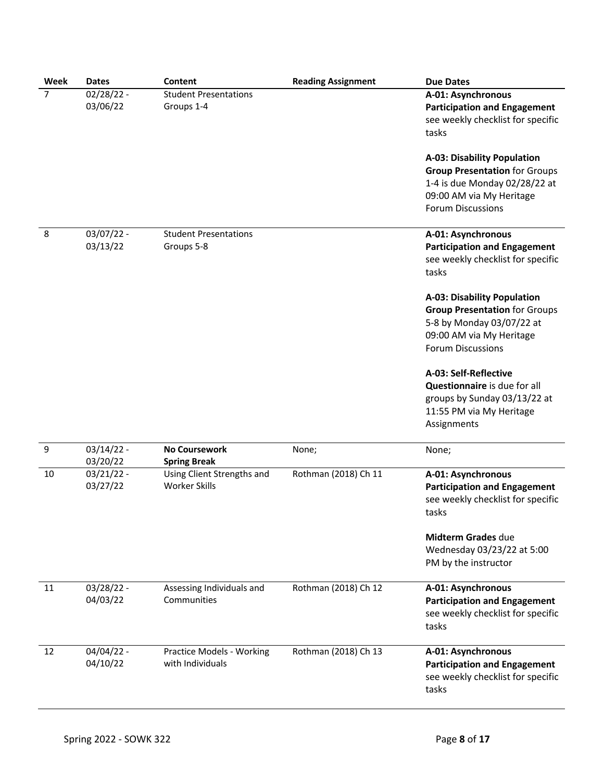| Week | <b>Dates</b>             | Content                                              | <b>Reading Assignment</b> | <b>Due Dates</b>                                                                                                                                                    |
|------|--------------------------|------------------------------------------------------|---------------------------|---------------------------------------------------------------------------------------------------------------------------------------------------------------------|
| 7    | $02/28/22 -$<br>03/06/22 | <b>Student Presentations</b><br>Groups 1-4           |                           | A-01: Asynchronous<br><b>Participation and Engagement</b><br>see weekly checklist for specific<br>tasks                                                             |
|      |                          |                                                      |                           | <b>A-03: Disability Population</b><br><b>Group Presentation for Groups</b><br>1-4 is due Monday 02/28/22 at<br>09:00 AM via My Heritage<br><b>Forum Discussions</b> |
| 8    | $03/07/22 -$<br>03/13/22 | <b>Student Presentations</b><br>Groups 5-8           |                           | A-01: Asynchronous<br><b>Participation and Engagement</b><br>see weekly checklist for specific<br>tasks                                                             |
|      |                          |                                                      |                           | <b>A-03: Disability Population</b><br><b>Group Presentation for Groups</b><br>5-8 by Monday 03/07/22 at<br>09:00 AM via My Heritage<br><b>Forum Discussions</b>     |
|      |                          |                                                      |                           | A-03: Self-Reflective<br>Questionnaire is due for all<br>groups by Sunday 03/13/22 at<br>11:55 PM via My Heritage<br>Assignments                                    |
| 9    | $03/14/22 -$<br>03/20/22 | <b>No Coursework</b><br><b>Spring Break</b>          | None;                     | None;                                                                                                                                                               |
| 10   | $03/21/22 -$<br>03/27/22 | Using Client Strengths and<br><b>Worker Skills</b>   | Rothman (2018) Ch 11      | A-01: Asynchronous<br><b>Participation and Engagement</b><br>see weekly checklist for specific<br>tasks                                                             |
|      |                          |                                                      |                           | Midterm Grades due<br>Wednesday 03/23/22 at 5:00<br>PM by the instructor                                                                                            |
| 11   | $03/28/22 -$<br>04/03/22 | Assessing Individuals and<br>Communities             | Rothman (2018) Ch 12      | A-01: Asynchronous<br><b>Participation and Engagement</b><br>see weekly checklist for specific<br>tasks                                                             |
| 12   | $04/04/22 -$<br>04/10/22 | <b>Practice Models - Working</b><br>with Individuals | Rothman (2018) Ch 13      | A-01: Asynchronous<br><b>Participation and Engagement</b><br>see weekly checklist for specific<br>tasks                                                             |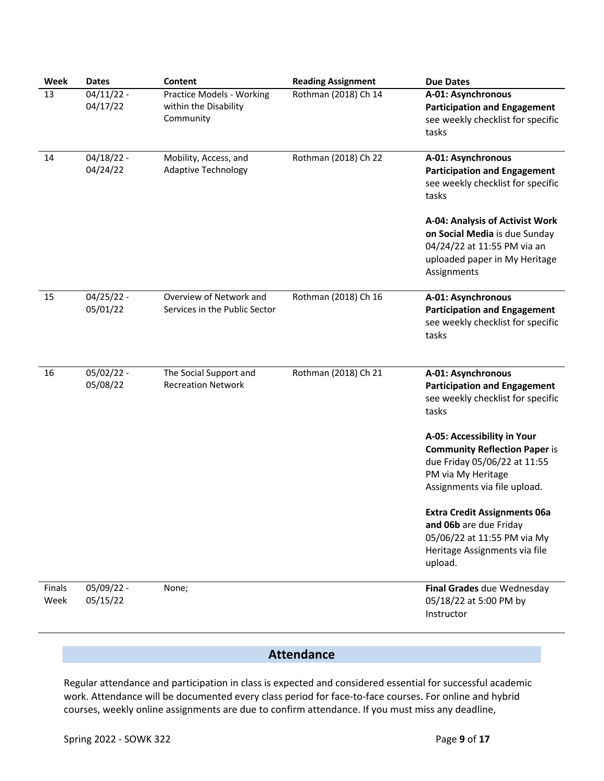| Week           | <b>Dates</b>             | Content                                                         | <b>Reading Assignment</b> | <b>Due Dates</b>                                                                                                                                          |
|----------------|--------------------------|-----------------------------------------------------------------|---------------------------|-----------------------------------------------------------------------------------------------------------------------------------------------------------|
| 13             | $04/11/22 -$<br>04/17/22 | Practice Models - Working<br>within the Disability<br>Community | Rothman (2018) Ch 14      | A-01: Asynchronous<br><b>Participation and Engagement</b><br>see weekly checklist for specific<br>tasks                                                   |
| 14             | $04/18/22 -$<br>04/24/22 | Mobility, Access, and<br><b>Adaptive Technology</b>             | Rothman (2018) Ch 22      | A-01: Asynchronous<br><b>Participation and Engagement</b><br>see weekly checklist for specific<br>tasks                                                   |
|                |                          |                                                                 |                           | A-04: Analysis of Activist Work<br>on Social Media is due Sunday<br>04/24/22 at 11:55 PM via an<br>uploaded paper in My Heritage<br>Assignments           |
| 15             | $04/25/22 -$<br>05/01/22 | Overview of Network and<br>Services in the Public Sector        | Rothman (2018) Ch 16      | A-01: Asynchronous<br><b>Participation and Engagement</b><br>see weekly checklist for specific<br>tasks                                                   |
| 16             | 05/02/22 -<br>05/08/22   | The Social Support and<br><b>Recreation Network</b>             | Rothman (2018) Ch 21      | A-01: Asynchronous<br><b>Participation and Engagement</b><br>see weekly checklist for specific<br>tasks                                                   |
|                |                          |                                                                 |                           | A-05: Accessibility in Your<br><b>Community Reflection Paper is</b><br>due Friday 05/06/22 at 11:55<br>PM via My Heritage<br>Assignments via file upload. |
|                |                          |                                                                 |                           | <b>Extra Credit Assignments 06a</b><br>and 06b are due Friday<br>05/06/22 at 11:55 PM via My<br>Heritage Assignments via file<br>upload.                  |
| Finals<br>Week | 05/09/22 -<br>05/15/22   | None;                                                           |                           | Final Grades due Wednesday<br>05/18/22 at 5:00 PM by<br>Instructor                                                                                        |

# **Attendance**

Regular attendance and participation in class is expected and considered essential for successful academic work. Attendance will be documented every class period for face-to-face courses. For online and hybrid courses, weekly online assignments are due to confirm attendance. If you must miss any deadline,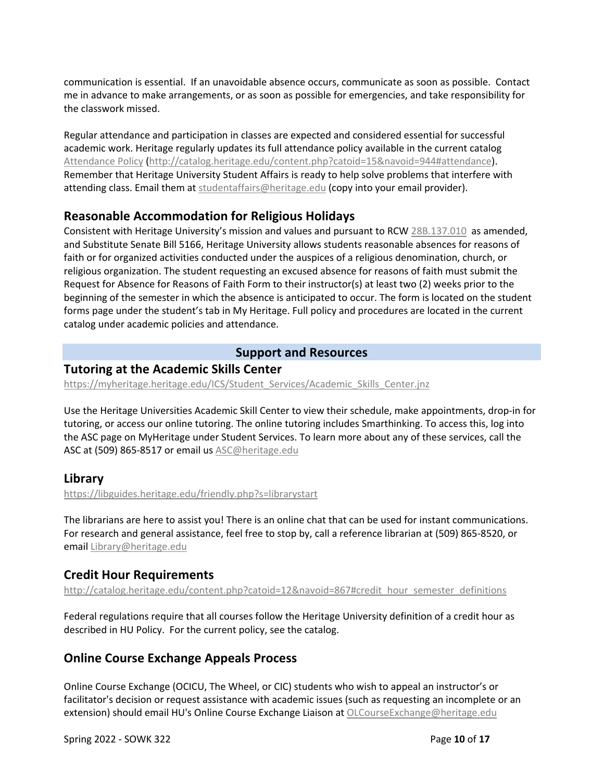communication is essential. If an unavoidable absence occurs, communicate as soon as possible. Contact me in advance to make arrangements, or as soon as possible for emergencies, and take responsibility for the classwork missed.

Regular attendance and participation in classes are expected and considered essential for successful academic work. Heritage regularly updates its full attendance policy available in the current catalog Attendance Policy (http://catalog.heritage.edu/content.php?catoid=15&navoid=944#attendance). Remember that Heritage University Student Affairs is ready to help solve problems that interfere with attending class. Email them at studentaffairs@heritage.edu (copy into your email provider).

## **Reasonable Accommodation for Religious Holidays**

Consistent with Heritage University's mission and values and pursuant to RCW 28B.137.010 as amended, and Substitute Senate Bill 5166, Heritage University allows students reasonable absences for reasons of faith or for organized activities conducted under the auspices of a religious denomination, church, or religious organization. The student requesting an excused absence for reasons of faith must submit the Request for Absence for Reasons of Faith Form to their instructor(s) at least two (2) weeks prior to the beginning of the semester in which the absence is anticipated to occur. The form is located on the student forms page under the student's tab in My Heritage. Full policy and procedures are located in the current catalog under academic policies and attendance.

#### **Support and Resources**

#### **Tutoring at the Academic Skills Center**

https://myheritage.heritage.edu/ICS/Student\_Services/Academic\_Skills\_Center.jnz

Use the Heritage Universities Academic Skill Center to view their schedule, make appointments, drop-in for tutoring, or access our online tutoring. The online tutoring includes Smarthinking. To access this, log into the ASC page on MyHeritage under Student Services. To learn more about any of these services, call the ASC at (509) 865-8517 or email us ASC@heritage.edu

#### **Library**

https://libguides.heritage.edu/friendly.php?s=librarystart

The librarians are here to assist you! There is an online chat that can be used for instant communications. For research and general assistance, feel free to stop by, call a reference librarian at (509) 865-8520, or email Library@heritage.edu

#### **Credit Hour Requirements**

http://catalog.heritage.edu/content.php?catoid=12&navoid=867#credit\_hour\_semester\_definitions

Federal regulations require that all courses follow the Heritage University definition of a credit hour as described in HU Policy. For the current policy, see the catalog.

## **Online Course Exchange Appeals Process**

Online Course Exchange (OCICU, The Wheel, or CIC) students who wish to appeal an instructor's or facilitator's decision or request assistance with academic issues (such as requesting an incomplete or an extension) should email HU's Online Course Exchange Liaison at OLCourseExchange@heritage.edu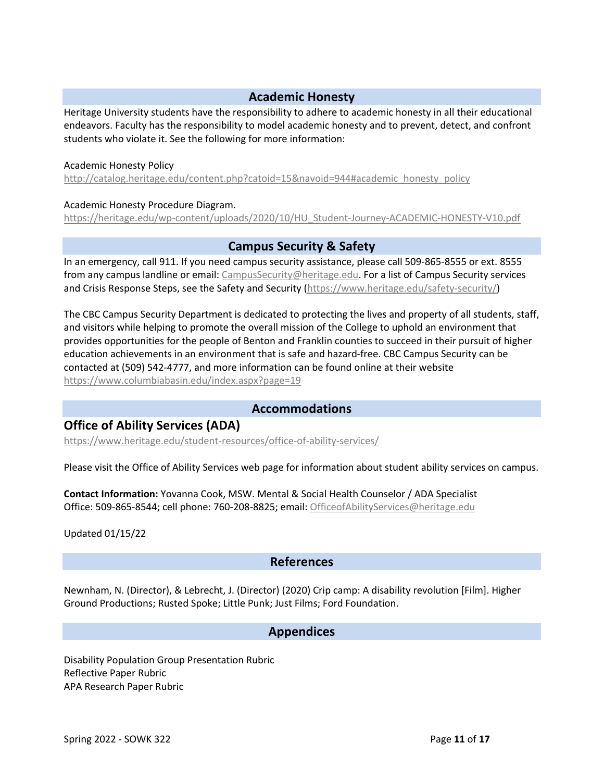## **Academic Honesty**

Heritage University students have the responsibility to adhere to academic honesty in all their educational endeavors. Faculty has the responsibility to model academic honesty and to prevent, detect, and confront students who violate it. See the following for more information:

#### Academic Honesty Policy

http://catalog.heritage.edu/content.php?catoid=15&navoid=944#academic\_honesty\_policy

#### Academic Honesty Procedure Diagram.

https://heritage.edu/wp-content/uploads/2020/10/HU\_Student-Journey-ACADEMIC-HONESTY-V10.pdf

#### **Campus Security & Safety**

In an emergency, call 911. If you need campus security assistance, please call 509-865-8555 or ext. 8555 from any campus landline or email: CampusSecurity@heritage.edu. For a list of Campus Security services and Crisis Response Steps, see the Safety and Security (https://www.heritage.edu/safety-security/)

The CBC Campus Security Department is dedicated to protecting the lives and property of all students, staff, and visitors while helping to promote the overall mission of the College to uphold an environment that provides opportunities for the people of Benton and Franklin counties to succeed in their pursuit of higher education achievements in an environment that is safe and hazard-free. CBC Campus Security can be contacted at (509) 542-4777, and more information can be found online at their website https://www.columbiabasin.edu/index.aspx?page=19

#### **Accommodations**

#### **Office of Ability Services (ADA)**

https://www.heritage.edu/student-resources/office-of-ability-services/

Please visit the Office of Ability Services web page for information about student ability services on campus.

**Contact Information:** Yovanna Cook, MSW. Mental & Social Health Counselor / ADA Specialist Office: 509-865-8544; cell phone: 760-208-8825; email: OfficeofAbilityServices@heritage.edu

Updated 01/15/22

#### **References**

Newnham, N. (Director), & Lebrecht, J. (Director) (2020) Crip camp: A disability revolution [Film]. Higher Ground Productions; Rusted Spoke; Little Punk; Just Films; Ford Foundation.

#### **Appendices**

Disability Population Group Presentation Rubric Reflective Paper Rubric APA Research Paper Rubric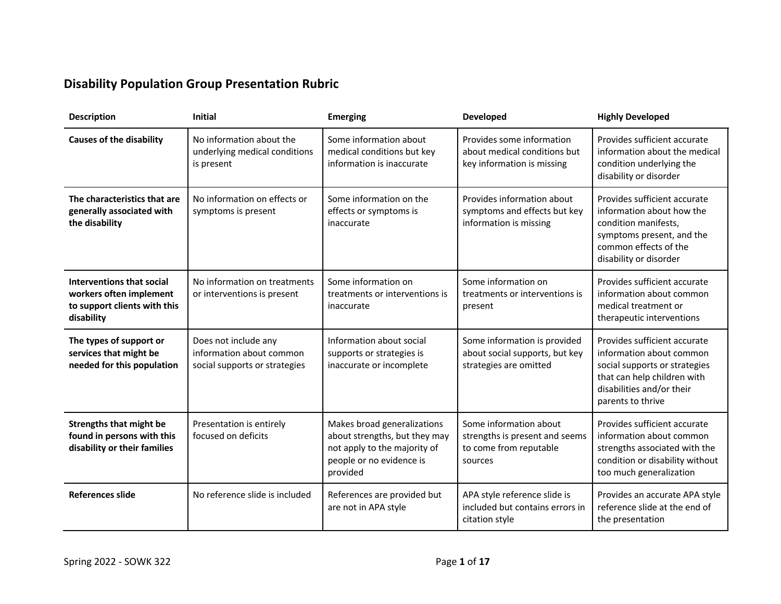# **Disability Population Group Presentation Rubric**

| <b>Description</b>                                                                                 | <b>Initial</b>                                                                    | <b>Emerging</b>                                                                                                                      | <b>Developed</b>                                                                              | <b>Highly Developed</b>                                                                                                                                                    |
|----------------------------------------------------------------------------------------------------|-----------------------------------------------------------------------------------|--------------------------------------------------------------------------------------------------------------------------------------|-----------------------------------------------------------------------------------------------|----------------------------------------------------------------------------------------------------------------------------------------------------------------------------|
| <b>Causes of the disability</b>                                                                    | No information about the<br>underlying medical conditions<br>is present           | Some information about<br>medical conditions but key<br>information is inaccurate                                                    | Provides some information<br>about medical conditions but<br>key information is missing       | Provides sufficient accurate<br>information about the medical<br>condition underlying the<br>disability or disorder                                                        |
| The characteristics that are<br>generally associated with<br>the disability                        | No information on effects or<br>symptoms is present                               | Some information on the<br>effects or symptoms is<br>inaccurate                                                                      | Provides information about<br>symptoms and effects but key<br>information is missing          | Provides sufficient accurate<br>information about how the<br>condition manifests,<br>symptoms present, and the<br>common effects of the<br>disability or disorder          |
| Interventions that social<br>workers often implement<br>to support clients with this<br>disability | No information on treatments<br>or interventions is present                       | Some information on<br>treatments or interventions is<br>inaccurate                                                                  | Some information on<br>treatments or interventions is<br>present                              | Provides sufficient accurate<br>information about common<br>medical treatment or<br>therapeutic interventions                                                              |
| The types of support or<br>services that might be<br>needed for this population                    | Does not include any<br>information about common<br>social supports or strategies | Information about social<br>supports or strategies is<br>inaccurate or incomplete                                                    | Some information is provided<br>about social supports, but key<br>strategies are omitted      | Provides sufficient accurate<br>information about common<br>social supports or strategies<br>that can help children with<br>disabilities and/or their<br>parents to thrive |
| <b>Strengths that might be</b><br>found in persons with this<br>disability or their families       | Presentation is entirely<br>focused on deficits                                   | Makes broad generalizations<br>about strengths, but they may<br>not apply to the majority of<br>people or no evidence is<br>provided | Some information about<br>strengths is present and seems<br>to come from reputable<br>sources | Provides sufficient accurate<br>information about common<br>strengths associated with the<br>condition or disability without<br>too much generalization                    |
| <b>References slide</b>                                                                            | No reference slide is included                                                    | References are provided but<br>are not in APA style                                                                                  | APA style reference slide is<br>included but contains errors in<br>citation style             | Provides an accurate APA style<br>reference slide at the end of<br>the presentation                                                                                        |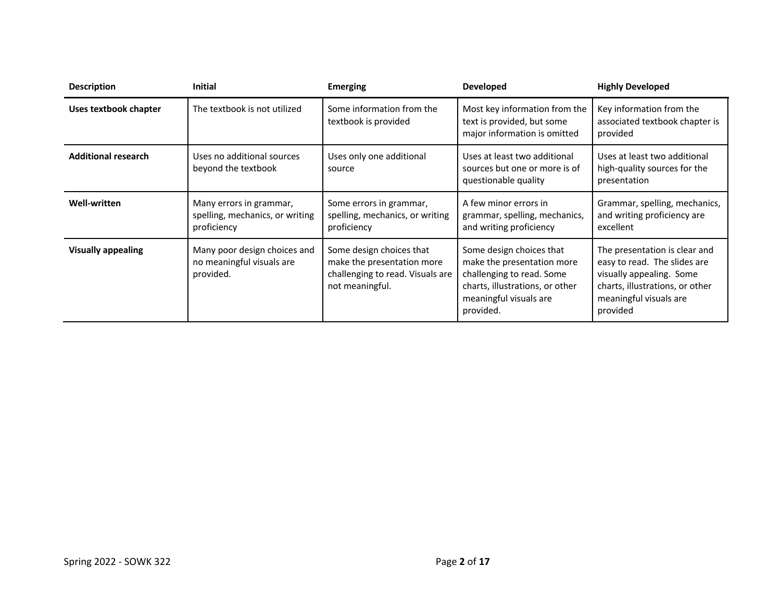| <b>Description</b>           | <b>Initial</b>                                                            | <b>Emerging</b>                                                                                               | <b>Developed</b>                                                                                                                                              | <b>Highly Developed</b>                                                                                                                                            |
|------------------------------|---------------------------------------------------------------------------|---------------------------------------------------------------------------------------------------------------|---------------------------------------------------------------------------------------------------------------------------------------------------------------|--------------------------------------------------------------------------------------------------------------------------------------------------------------------|
| <b>Uses textbook chapter</b> | The textbook is not utilized                                              | Some information from the<br>textbook is provided                                                             | Most key information from the<br>text is provided, but some<br>major information is omitted                                                                   | Key information from the<br>associated textbook chapter is<br>provided                                                                                             |
| <b>Additional research</b>   | Uses no additional sources<br>beyond the textbook                         | Uses only one additional<br>source                                                                            | Uses at least two additional<br>sources but one or more is of<br>questionable quality                                                                         | Uses at least two additional<br>high-quality sources for the<br>presentation                                                                                       |
| <b>Well-written</b>          | Many errors in grammar,<br>spelling, mechanics, or writing<br>proficiency | Some errors in grammar,<br>spelling, mechanics, or writing<br>proficiency                                     | A few minor errors in<br>grammar, spelling, mechanics,<br>and writing proficiency                                                                             | Grammar, spelling, mechanics,<br>and writing proficiency are<br>excellent                                                                                          |
| <b>Visually appealing</b>    | Many poor design choices and<br>no meaningful visuals are<br>provided.    | Some design choices that<br>make the presentation more<br>challenging to read. Visuals are<br>not meaningful. | Some design choices that<br>make the presentation more<br>challenging to read. Some<br>charts, illustrations, or other<br>meaningful visuals are<br>provided. | The presentation is clear and<br>easy to read. The slides are<br>visually appealing. Some<br>charts, illustrations, or other<br>meaningful visuals are<br>provided |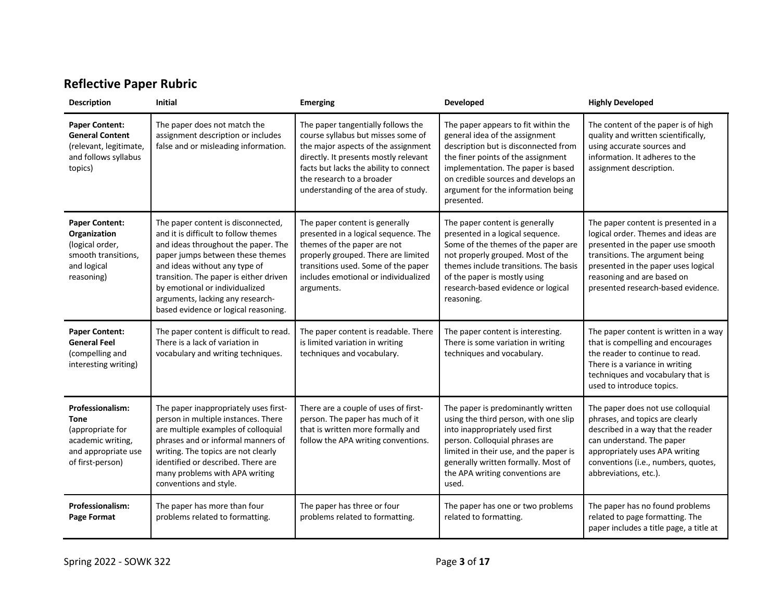# **Reflective Paper Rubric**

| <b>Description</b>                                                                                                         | <b>Initial</b>                                                                                                                                                                                                                                                                                                                                 | <b>Emerging</b>                                                                                                                                                                                                                                                        | Developed                                                                                                                                                                                                                                                                            | <b>Highly Developed</b>                                                                                                                                                                                                                                       |
|----------------------------------------------------------------------------------------------------------------------------|------------------------------------------------------------------------------------------------------------------------------------------------------------------------------------------------------------------------------------------------------------------------------------------------------------------------------------------------|------------------------------------------------------------------------------------------------------------------------------------------------------------------------------------------------------------------------------------------------------------------------|--------------------------------------------------------------------------------------------------------------------------------------------------------------------------------------------------------------------------------------------------------------------------------------|---------------------------------------------------------------------------------------------------------------------------------------------------------------------------------------------------------------------------------------------------------------|
| <b>Paper Content:</b><br><b>General Content</b><br>(relevant, legitimate,<br>and follows syllabus<br>topics)               | The paper does not match the<br>assignment description or includes<br>false and or misleading information.                                                                                                                                                                                                                                     | The paper tangentially follows the<br>course syllabus but misses some of<br>the major aspects of the assignment<br>directly. It presents mostly relevant<br>facts but lacks the ability to connect<br>the research to a broader<br>understanding of the area of study. | The paper appears to fit within the<br>general idea of the assignment<br>description but is disconnected from<br>the finer points of the assignment<br>implementation. The paper is based<br>on credible sources and develops an<br>argument for the information being<br>presented. | The content of the paper is of high<br>quality and written scientifically,<br>using accurate sources and<br>information. It adheres to the<br>assignment description.                                                                                         |
| <b>Paper Content:</b><br>Organization<br>(logical order,<br>smooth transitions,<br>and logical<br>reasoning)               | The paper content is disconnected,<br>and it is difficult to follow themes<br>and ideas throughout the paper. The<br>paper jumps between these themes<br>and ideas without any type of<br>transition. The paper is either driven<br>by emotional or individualized<br>arguments, lacking any research-<br>based evidence or logical reasoning. | The paper content is generally<br>presented in a logical sequence. The<br>themes of the paper are not<br>properly grouped. There are limited<br>transitions used. Some of the paper<br>includes emotional or individualized<br>arguments.                              | The paper content is generally<br>presented in a logical sequence.<br>Some of the themes of the paper are<br>not properly grouped. Most of the<br>themes include transitions. The basis<br>of the paper is mostly using<br>research-based evidence or logical<br>reasoning.          | The paper content is presented in a<br>logical order. Themes and ideas are<br>presented in the paper use smooth<br>transitions. The argument being<br>presented in the paper uses logical<br>reasoning and are based on<br>presented research-based evidence. |
| <b>Paper Content:</b><br><b>General Feel</b><br>(compelling and<br>interesting writing)                                    | The paper content is difficult to read.<br>There is a lack of variation in<br>vocabulary and writing techniques.                                                                                                                                                                                                                               | The paper content is readable. There<br>is limited variation in writing<br>techniques and vocabulary.                                                                                                                                                                  | The paper content is interesting.<br>There is some variation in writing<br>techniques and vocabulary.                                                                                                                                                                                | The paper content is written in a way<br>that is compelling and encourages<br>the reader to continue to read.<br>There is a variance in writing<br>techniques and vocabulary that is<br>used to introduce topics.                                             |
| <b>Professionalism:</b><br><b>Tone</b><br>(appropriate for<br>academic writing,<br>and appropriate use<br>of first-person) | The paper inappropriately uses first-<br>person in multiple instances. There<br>are multiple examples of colloquial<br>phrases and or informal manners of<br>writing. The topics are not clearly<br>identified or described. There are<br>many problems with APA writing<br>conventions and style.                                             | There are a couple of uses of first-<br>person. The paper has much of it<br>that is written more formally and<br>follow the APA writing conventions.                                                                                                                   | The paper is predominantly written<br>using the third person, with one slip<br>into inappropriately used first<br>person. Colloquial phrases are<br>limited in their use, and the paper is<br>generally written formally. Most of<br>the APA writing conventions are<br>used.        | The paper does not use colloquial<br>phrases, and topics are clearly<br>described in a way that the reader<br>can understand. The paper<br>appropriately uses APA writing<br>conventions (i.e., numbers, quotes,<br>abbreviations, etc.).                     |
| <b>Professionalism:</b><br>Page Format                                                                                     | The paper has more than four<br>problems related to formatting.                                                                                                                                                                                                                                                                                | The paper has three or four<br>problems related to formatting.                                                                                                                                                                                                         | The paper has one or two problems<br>related to formatting.                                                                                                                                                                                                                          | The paper has no found problems<br>related to page formatting. The<br>paper includes a title page, a title at                                                                                                                                                 |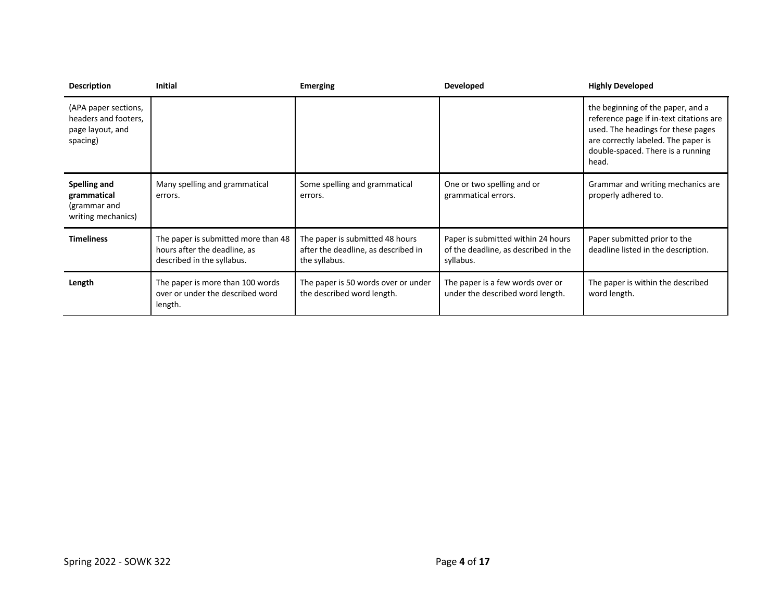| <b>Description</b>                                                           | <b>Initial</b>                                                                                    | <b>Emerging</b>                                                                         | <b>Developed</b>                                                                        | <b>Highly Developed</b>                                                                                                                                                                                 |
|------------------------------------------------------------------------------|---------------------------------------------------------------------------------------------------|-----------------------------------------------------------------------------------------|-----------------------------------------------------------------------------------------|---------------------------------------------------------------------------------------------------------------------------------------------------------------------------------------------------------|
| (APA paper sections,<br>headers and footers,<br>page layout, and<br>spacing) |                                                                                                   |                                                                                         |                                                                                         | the beginning of the paper, and a<br>reference page if in-text citations are<br>used. The headings for these pages<br>are correctly labeled. The paper is<br>double-spaced. There is a running<br>head. |
| Spelling and<br>grammatical<br>(grammar and<br>writing mechanics)            | Many spelling and grammatical<br>errors.                                                          | Some spelling and grammatical<br>errors.                                                | One or two spelling and or<br>grammatical errors.                                       | Grammar and writing mechanics are<br>properly adhered to.                                                                                                                                               |
| <b>Timeliness</b>                                                            | The paper is submitted more than 48<br>hours after the deadline, as<br>described in the syllabus. | The paper is submitted 48 hours<br>after the deadline, as described in<br>the syllabus. | Paper is submitted within 24 hours<br>of the deadline, as described in the<br>syllabus. | Paper submitted prior to the<br>deadline listed in the description.                                                                                                                                     |
| Length                                                                       | The paper is more than 100 words<br>over or under the described word<br>length.                   | The paper is 50 words over or under<br>the described word length.                       | The paper is a few words over or<br>under the described word length.                    | The paper is within the described<br>word length.                                                                                                                                                       |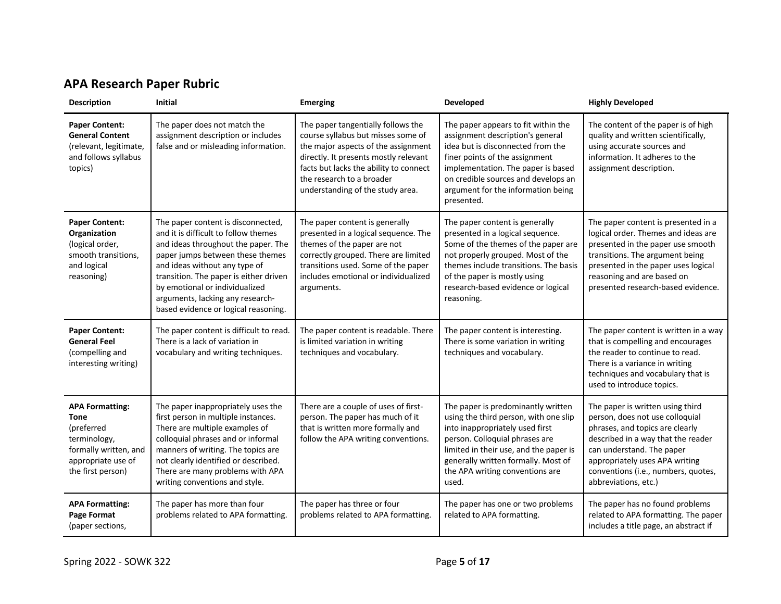# **APA Research Paper Rubric**

| <b>Description</b>                                                                                                                      | <b>Initial</b>                                                                                                                                                                                                                                                                                                                                 | <b>Emerging</b>                                                                                                                                                                                                                                                     | Developed                                                                                                                                                                                                                                                                       | <b>Highly Developed</b>                                                                                                                                                                                                                                                    |
|-----------------------------------------------------------------------------------------------------------------------------------------|------------------------------------------------------------------------------------------------------------------------------------------------------------------------------------------------------------------------------------------------------------------------------------------------------------------------------------------------|---------------------------------------------------------------------------------------------------------------------------------------------------------------------------------------------------------------------------------------------------------------------|---------------------------------------------------------------------------------------------------------------------------------------------------------------------------------------------------------------------------------------------------------------------------------|----------------------------------------------------------------------------------------------------------------------------------------------------------------------------------------------------------------------------------------------------------------------------|
| <b>Paper Content:</b><br><b>General Content</b><br>(relevant, legitimate,<br>and follows syllabus<br>topics)                            | The paper does not match the<br>assignment description or includes<br>false and or misleading information.                                                                                                                                                                                                                                     | The paper tangentially follows the<br>course syllabus but misses some of<br>the major aspects of the assignment<br>directly. It presents mostly relevant<br>facts but lacks the ability to connect<br>the research to a broader<br>understanding of the study area. | The paper appears to fit within the<br>assignment description's general<br>idea but is disconnected from the<br>finer points of the assignment<br>implementation. The paper is based<br>on credible sources and develops an<br>argument for the information being<br>presented. | The content of the paper is of high<br>quality and written scientifically,<br>using accurate sources and<br>information. It adheres to the<br>assignment description.                                                                                                      |
| <b>Paper Content:</b><br>Organization<br>(logical order,<br>smooth transitions,<br>and logical<br>reasoning)                            | The paper content is disconnected,<br>and it is difficult to follow themes<br>and ideas throughout the paper. The<br>paper jumps between these themes<br>and ideas without any type of<br>transition. The paper is either driven<br>by emotional or individualized<br>arguments, lacking any research-<br>based evidence or logical reasoning. | The paper content is generally<br>presented in a logical sequence. The<br>themes of the paper are not<br>correctly grouped. There are limited<br>transitions used. Some of the paper<br>includes emotional or individualized<br>arguments.                          | The paper content is generally<br>presented in a logical sequence.<br>Some of the themes of the paper are<br>not properly grouped. Most of the<br>themes include transitions. The basis<br>of the paper is mostly using<br>research-based evidence or logical<br>reasoning.     | The paper content is presented in a<br>logical order. Themes and ideas are<br>presented in the paper use smooth<br>transitions. The argument being<br>presented in the paper uses logical<br>reasoning and are based on<br>presented research-based evidence.              |
| <b>Paper Content:</b><br><b>General Feel</b><br>(compelling and<br>interesting writing)                                                 | The paper content is difficult to read.<br>There is a lack of variation in<br>vocabulary and writing techniques.                                                                                                                                                                                                                               | The paper content is readable. There<br>is limited variation in writing<br>techniques and vocabulary.                                                                                                                                                               | The paper content is interesting.<br>There is some variation in writing<br>techniques and vocabulary.                                                                                                                                                                           | The paper content is written in a way<br>that is compelling and encourages<br>the reader to continue to read.<br>There is a variance in writing<br>techniques and vocabulary that is<br>used to introduce topics.                                                          |
| <b>APA Formatting:</b><br><b>Tone</b><br>(preferred<br>terminology,<br>formally written, and<br>appropriate use of<br>the first person) | The paper inappropriately uses the<br>first person in multiple instances.<br>There are multiple examples of<br>colloquial phrases and or informal<br>manners of writing. The topics are<br>not clearly identified or described.<br>There are many problems with APA<br>writing conventions and style.                                          | There are a couple of uses of first-<br>person. The paper has much of it<br>that is written more formally and<br>follow the APA writing conventions.                                                                                                                | The paper is predominantly written<br>using the third person, with one slip<br>into inappropriately used first<br>person. Colloquial phrases are<br>limited in their use, and the paper is<br>generally written formally. Most of<br>the APA writing conventions are<br>used.   | The paper is written using third<br>person, does not use colloquial<br>phrases, and topics are clearly<br>described in a way that the reader<br>can understand. The paper<br>appropriately uses APA writing<br>conventions (i.e., numbers, quotes,<br>abbreviations, etc.) |
| <b>APA Formatting:</b><br>Page Format<br>(paper sections,                                                                               | The paper has more than four<br>problems related to APA formatting.                                                                                                                                                                                                                                                                            | The paper has three or four<br>problems related to APA formatting.                                                                                                                                                                                                  | The paper has one or two problems<br>related to APA formatting.                                                                                                                                                                                                                 | The paper has no found problems<br>related to APA formatting. The paper<br>includes a title page, an abstract if                                                                                                                                                           |